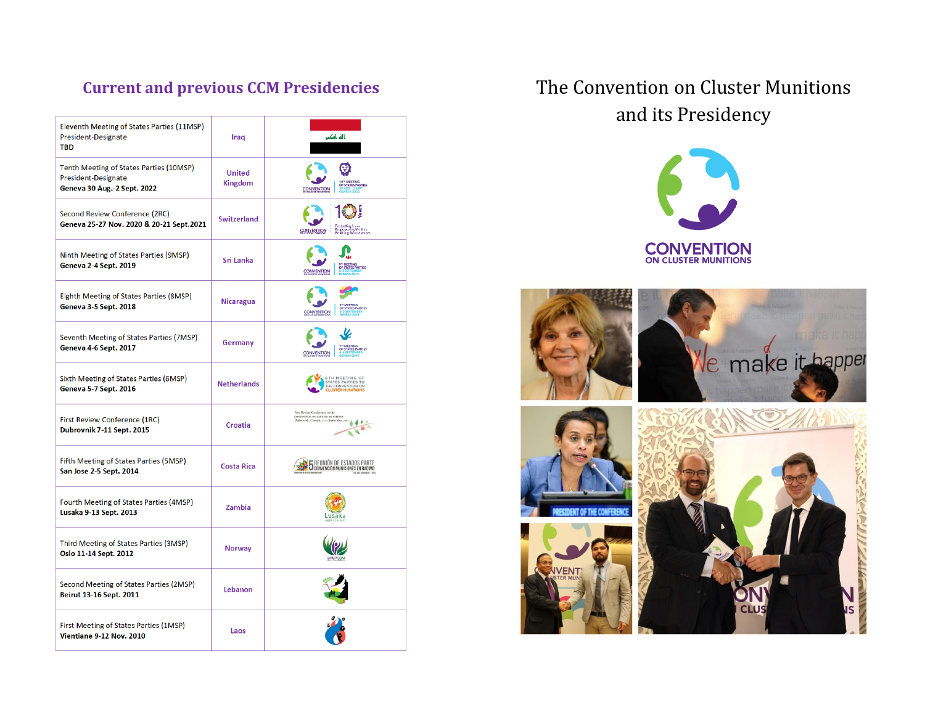| Eleventh Meeting of States Parties (11MSP)<br>President-Designate<br><b>TBD</b>               | Iraq                            | باله بأكبر                                                                                                         |
|-----------------------------------------------------------------------------------------------|---------------------------------|--------------------------------------------------------------------------------------------------------------------|
| Tenth Meeting of States Parties (10MSP)<br>President-Designate<br>Geneva 30 Aug.-2 Sept. 2022 | <b>United</b><br><b>Kingdom</b> | .<br>RTIES<br><b>CONVENTION</b>                                                                                    |
| Second Review Conference (2RC)<br>Geneva 25-27 Nov. 2020 & 20-21 Sept.2021                    | <b>Switzerland</b>              | Protooling Lives<br>Empewering Viotims<br>Enabling Development<br><b>CONVENTION</b>                                |
| Ninth Meeting of States Parties (9MSP)<br><b>Geneva 2-4 Sept. 2019</b>                        | Sri Lanka                       | <b>FEE DADTIES</b><br><b>CONVENTION</b>                                                                            |
| Eighth Meeting of States Parties (8MSP)<br><b>Geneva 3-5 Sept. 2018</b>                       | <b>Nicaragua</b>                | <b>TATES PARTIES</b><br><b>CONVENTION</b>                                                                          |
| Seventh Meeting of States Parties (7MSP)<br><b>Geneva 4-6 Sept. 2017</b>                      | Germany                         | MEETING<br>STATES PARTIES<br><b>CONVENTION</b>                                                                     |
| Sixth Meeting of States Parties (6MSP)<br><b>Geneva 5-7 Sept. 2016</b>                        | <b>Netherlands</b>              | <b>6TH MEETING OF<br/>STATES PARTIES TO<br/>THE CONVENTION ON<br/>CLUSTER MUNITIONS</b>                            |
| First Review Conference (1RC)<br>Dubrovnik 7-11 Sept. 2015                                    | <b>Croatia</b>                  | First Review Conference to the<br>conventrion on cLUSTER MUNITIONS<br>Dabrovnik, Croatia, 7-11 September 2015<br>ø |
| Fifth Meeting of States Parties (5MSP)<br>San Jose 2-5 Sept. 2014                             | <b>Costa Rica</b>               | <b>5</b> REUNIÓN DE ESTADOS PARTE                                                                                  |
| Fourth Meeting of States Parties (4MSP)<br>Lusaka 9-13 Sept. 2013                             | Zambia                          | Lusaka                                                                                                             |
| Third Meeting of States Parties (3MSP)<br>Oslo 11-14 Sept. 2012                               | <b>Norway</b>                   |                                                                                                                    |
| Second Meeting of States Parties (2MSP)<br>Beirut 13-16 Sept. 2011                            | Lebanon                         |                                                                                                                    |
| First Meeting of States Parties (1MSP)<br>Vientiane 9-12 Nov. 2010                            | Laos                            |                                                                                                                    |

# **Current and previous CCM Presidencies** The Convention on Cluster Munitions and its Presidency